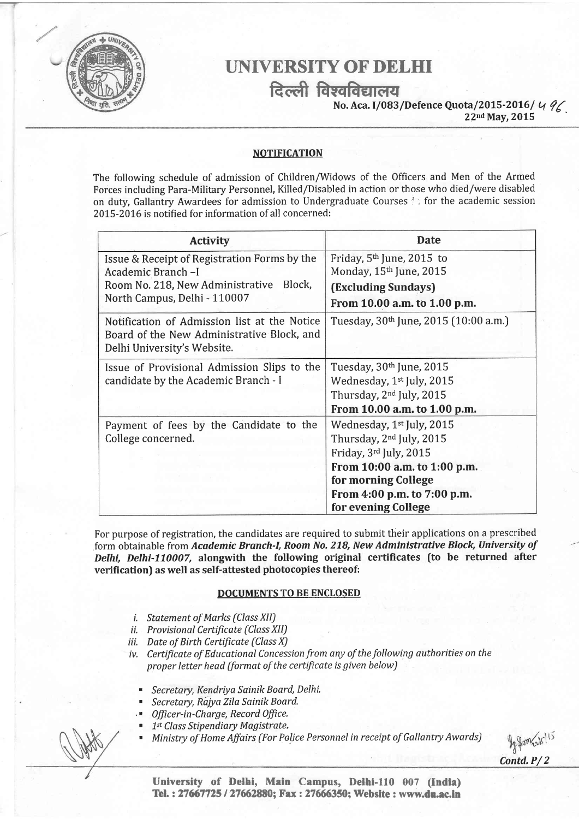

## UNIVERSITY OF DELHI

दिल्ली विश्वविद्यालय<br>No. Aca. I/083/Defence Quota/2015-2016/<br>22nd May, 2015

496

### NOTIFICATION

The following schedule of admission of Children/Widows of the Officers and Men of the Armed Forces including Para-Military Personnel, Killed/Disabled in action or those who died/were disabled on duty, Gallantry Awardees for admission to Undergraduate Courses  $\therefore$  for the academic session 2015-2016 is notified for information of all concerned:

| <b>Activity</b>                                                                                                                                 | <b>Date</b>                                       |
|-------------------------------------------------------------------------------------------------------------------------------------------------|---------------------------------------------------|
| Issue & Receipt of Registration Forms by the<br>Academic Branch-I<br>Block,<br>Room No. 218, New Administrative<br>North Campus, Delhi - 110007 | Friday, $5th$ June, 2015 to                       |
|                                                                                                                                                 | Monday, 15th June, 2015<br>(Excluding Sundays)    |
|                                                                                                                                                 | From 10.00 a.m. to 1.00 p.m.                      |
| Notification of Admission list at the Notice<br>Board of the New Administrative Block, and<br>Delhi University's Website.                       | Tuesday, 30 <sup>th</sup> June, 2015 (10:00 a.m.) |
| Issue of Provisional Admission Slips to the<br>candidate by the Academic Branch - I                                                             | Tuesday, 30 <sup>th</sup> June, 2015              |
|                                                                                                                                                 | Wednesday, 1 <sup>st</sup> July, 2015             |
|                                                                                                                                                 | Thursday, 2 <sup>nd</sup> July, 2015              |
|                                                                                                                                                 | From 10.00 a.m. to 1.00 p.m.                      |
| Payment of fees by the Candidate to the<br>College concerned.                                                                                   | Wednesday, 1 <sup>st</sup> July, 2015             |
|                                                                                                                                                 | Thursday, 2 <sup>nd</sup> July, 2015              |
|                                                                                                                                                 | Friday, 3rd July, 2015                            |
|                                                                                                                                                 | From 10:00 a.m. to 1:00 p.m.                      |
|                                                                                                                                                 | for morning College                               |
|                                                                                                                                                 | From 4:00 p.m. to 7:00 p.m.                       |
|                                                                                                                                                 | for evening College                               |

For purpose of registration, the candidates are required to submit their applications on a prescribed form obtainable from Academic Branch-I, Room No. 218, New Administrative Block, University of Delhi, Delhi-110007, alongwith the following original certificates (to be returned after verification) as well as self-attested photocopies thereof:

### DOCUMENTS TO BE ENCLOSED

- i. Statement of Marks (Class XII)
- ii. Provisional Certificate (Class XII)
- iii. Date of Birth Certificate (Class X)
- iv. Certificate of Educational Concession from any of the following authorities on the proper letter head (format of the certificate is given below)
	- . Secretary, Kendriya Sainik Board, Delhi,
	- Secretary, Rajya Zila Sainik Board.
	- Officer-in-Charge, Record Office.
	- 1st Class Stipendiary Magistrate.
	- Ministry of Home Affairs (For Police Personnel in receipt of Gallantry Awards)

Jefom rule 15

University of Delhi, Main Campus, Delhi-ll0 007 (Indla) Tel.: 27667725 / 27662880; Fax: 27666350; Website: www.du.ac.in